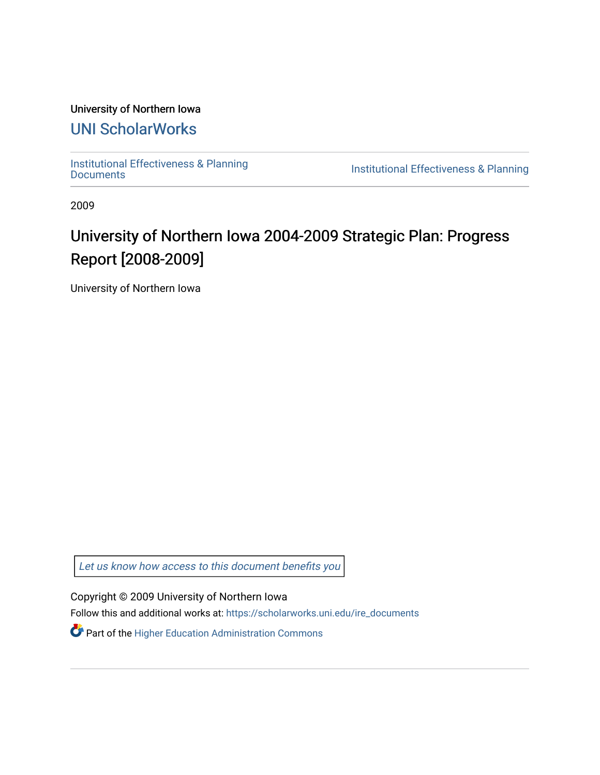# University of Northern Iowa

# [UNI ScholarWorks](https://scholarworks.uni.edu/)

[Institutional Effectiveness & Planning](https://scholarworks.uni.edu/ire_documents)

Institutional Effectiveness & Planning

2009

# University of Northern Iowa 2004-2009 Strategic Plan: Progress Report [2008-2009]

University of Northern Iowa

[Let us know how access to this document benefits you](https://scholarworks.uni.edu/feedback_form.html) 

Copyright © 2009 University of Northern Iowa

Follow this and additional works at: [https://scholarworks.uni.edu/ire\\_documents](https://scholarworks.uni.edu/ire_documents?utm_source=scholarworks.uni.edu%2Fire_documents%2F273&utm_medium=PDF&utm_campaign=PDFCoverPages) 

**P** Part of the Higher Education Administration Commons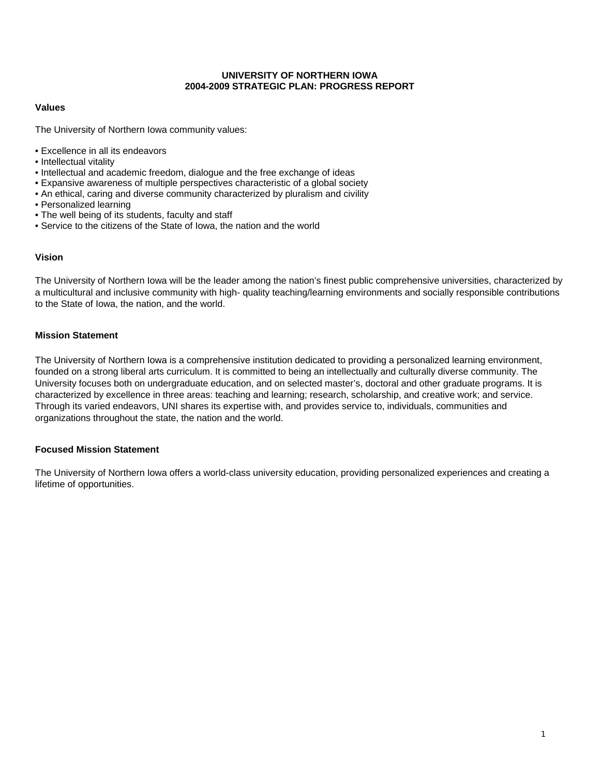#### **UNIVERSITY OF NORTHERN IOWA 2004-2009 STRATEGIC PLAN: PROGRESS REPORT**

# **Values**

The University of Northern Iowa community values:

- Excellence in all its endeavors
- Intellectual vitality
- Intellectual and academic freedom, dialogue and the free exchange of ideas
- Expansive awareness of multiple perspectives characteristic of a global society
- An ethical, caring and diverse community characterized by pluralism and civility
- Personalized learning
- The well being of its students, faculty and staff
- Service to the citizens of the State of Iowa, the nation and the world

# **Vision**

The University of Northern Iowa will be the leader among the nation's finest public comprehensive universities, characterized by a multicultural and inclusive community with high- quality teaching/learning environments and socially responsible contributions to the State of Iowa, the nation, and the world.

#### **Mission Statement**

The University of Northern Iowa is a comprehensive institution dedicated to providing a personalized learning environment, founded on a strong liberal arts curriculum. It is committed to being an intellectually and culturally diverse community. The University focuses both on undergraduate education, and on selected master's, doctoral and other graduate programs. It is characterized by excellence in three areas: teaching and learning; research, scholarship, and creative work; and service. Through its varied endeavors, UNI shares its expertise with, and provides service to, individuals, communities and organizations throughout the state, the nation and the world.

#### **Focused Mission Statement**

The University of Northern Iowa offers a world-class university education, providing personalized experiences and creating a lifetime of opportunities.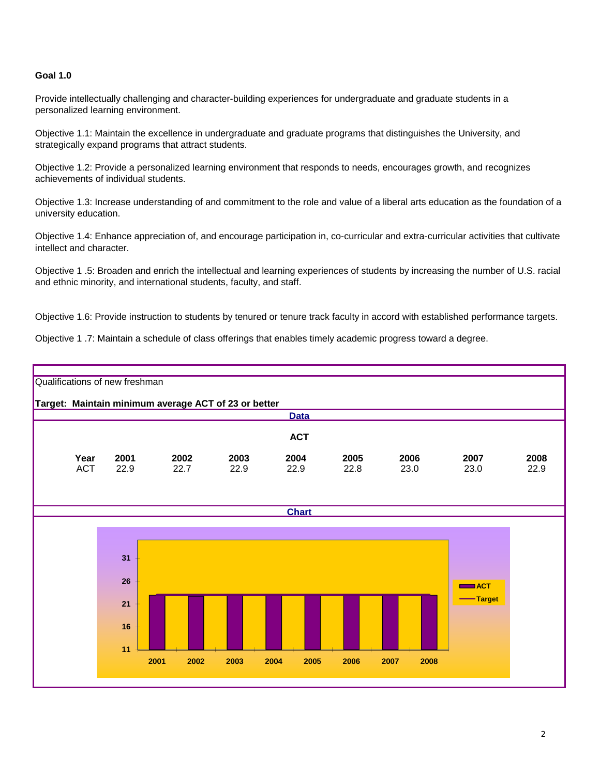# **Goal 1.0**

Provide intellectually challenging and character-building experiences for undergraduate and graduate students in a personalized learning environment.

Objective 1.1: Maintain the excellence in undergraduate and graduate programs that distinguishes the University, and strategically expand programs that attract students.

Objective 1.2: Provide a personalized learning environment that responds to needs, encourages growth, and recognizes achievements of individual students.

Objective 1.3: Increase understanding of and commitment to the role and value of a liberal arts education as the foundation of a university education.

Objective 1.4: Enhance appreciation of, and encourage participation in, co-curricular and extra-curricular activities that cultivate intellect and character.

Objective 1 .5: Broaden and enrich the intellectual and learning experiences of students by increasing the number of U.S. racial and ethnic minority, and international students, faculty, and staff.

Objective 1.6: Provide instruction to students by tenured or tenure track faculty in accord with established performance targets.

Objective 1 .7: Maintain a schedule of class offerings that enables timely academic progress toward a degree.

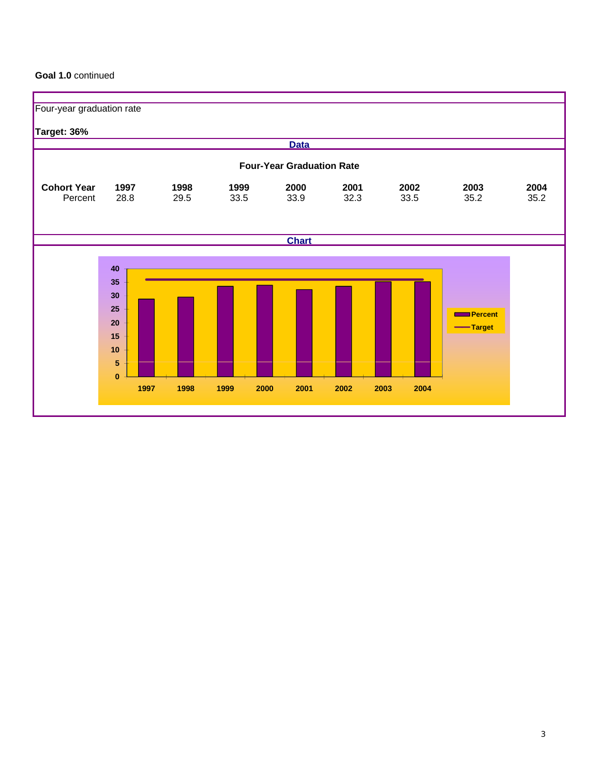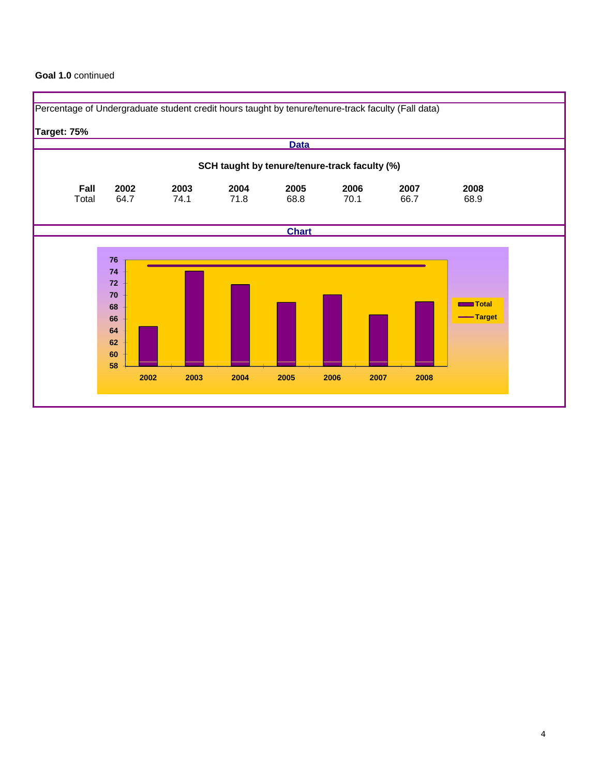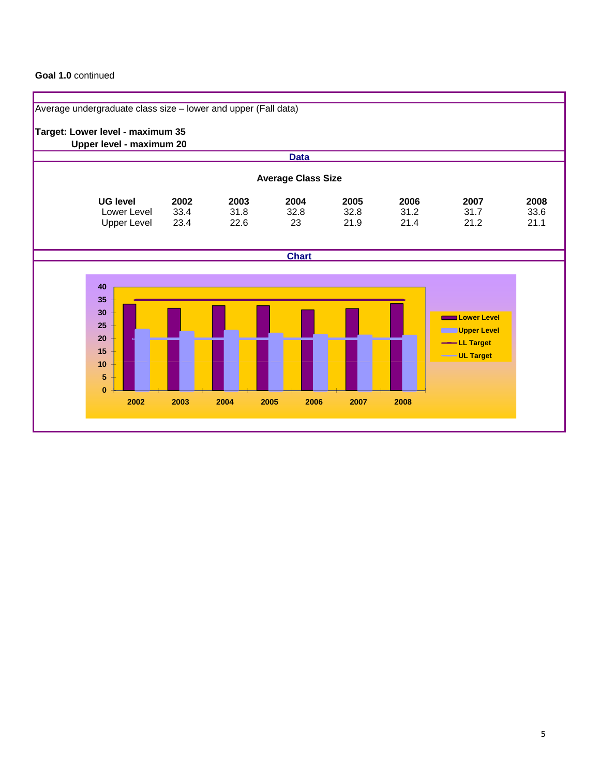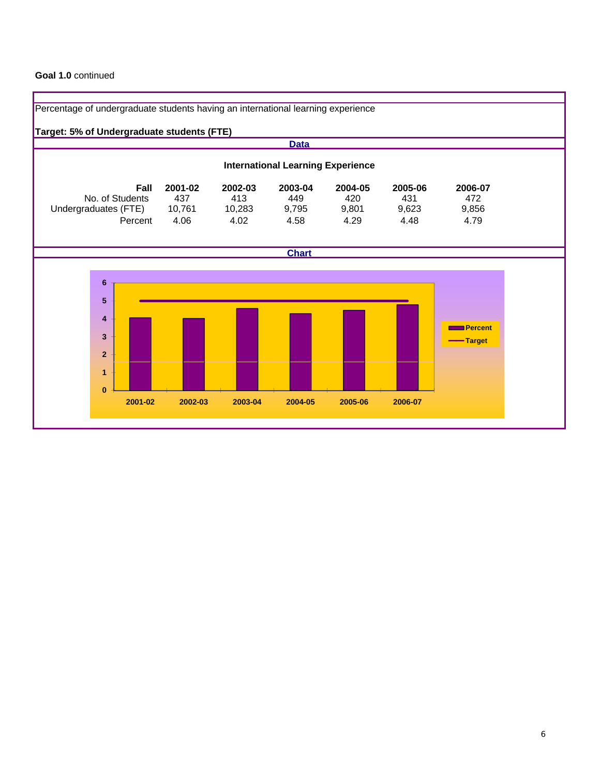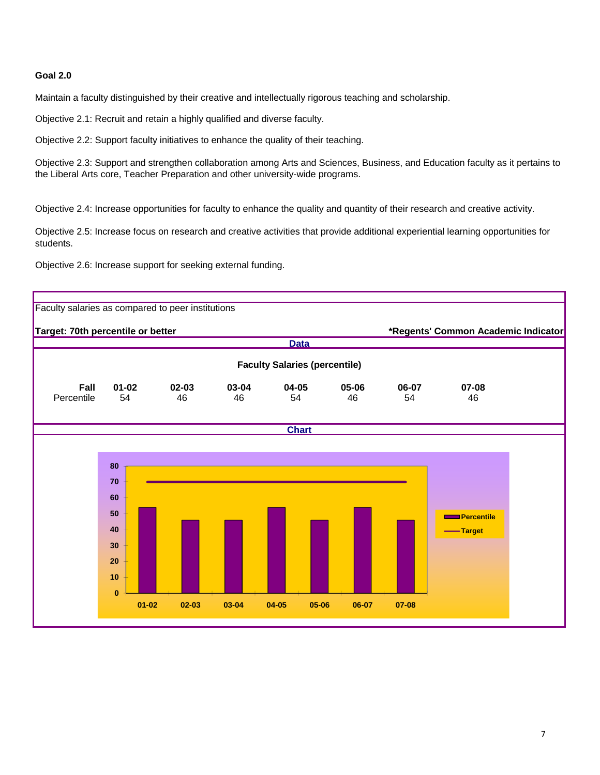# **Goal 2.0**

Maintain a faculty distinguished by their creative and intellectually rigorous teaching and scholarship.

Objective 2.1: Recruit and retain a highly qualified and diverse faculty.

Objective 2.2: Support faculty initiatives to enhance the quality of their teaching.

Objective 2.3: Support and strengthen collaboration among Arts and Sciences, Business, and Education faculty as it pertains to the Liberal Arts core, Teacher Preparation and other university-wide programs.

Objective 2.4: Increase opportunities for faculty to enhance the quality and quantity of their research and creative activity.

Objective 2.5: Increase focus on research and creative activities that provide additional experiential learning opportunities for students.

Objective 2.6: Increase support for seeking external funding.

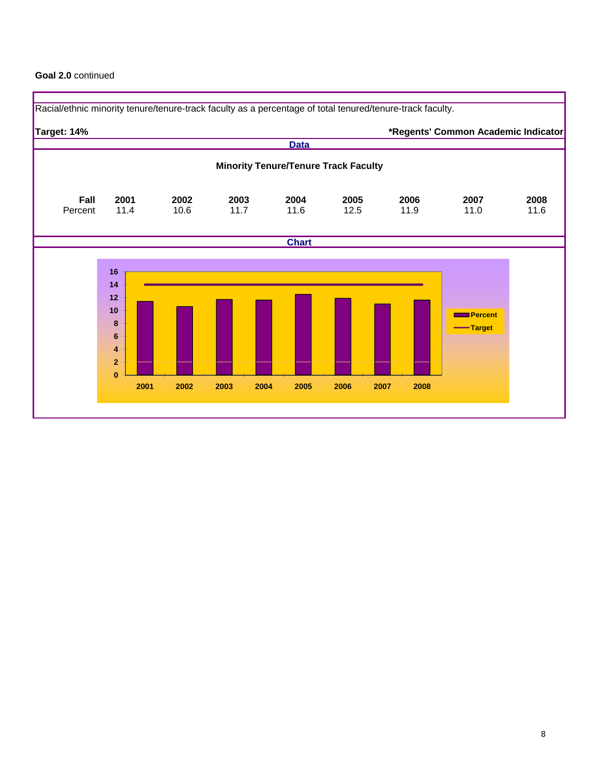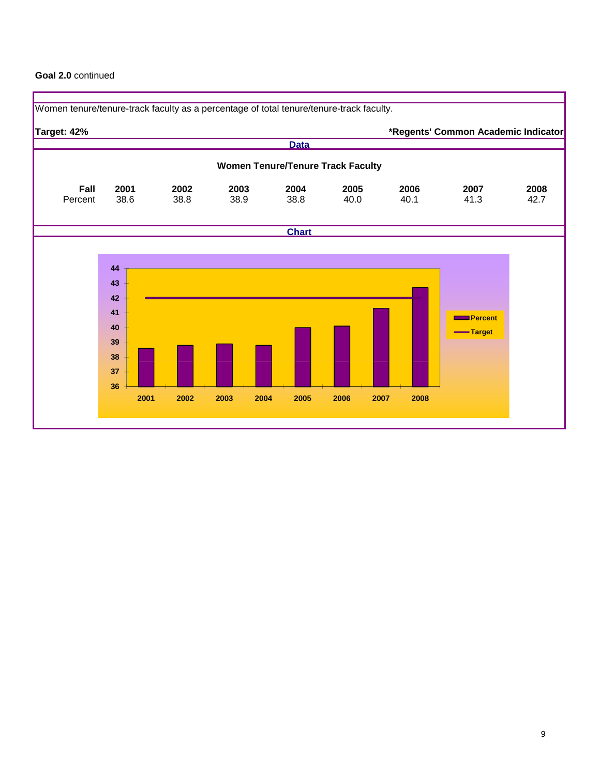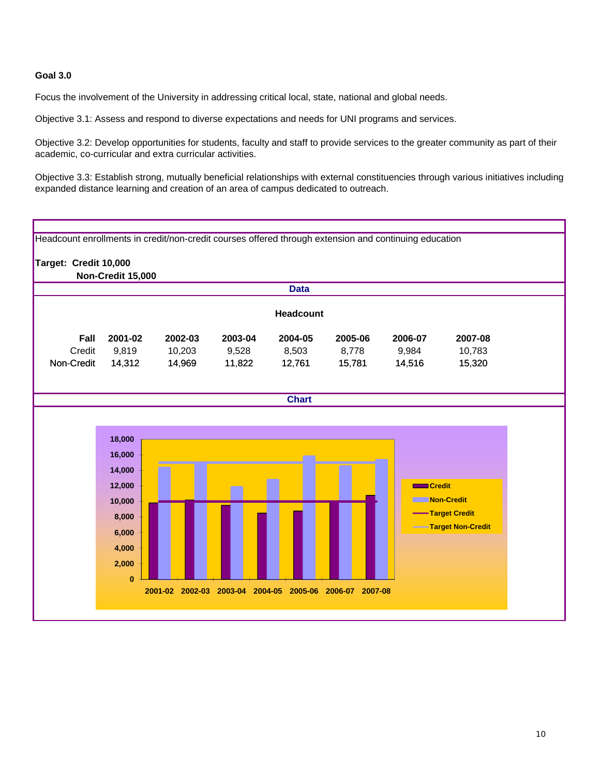# **Goal 3.0**

Focus the involvement of the University in addressing critical local, state, national and global needs.

Objective 3.1: Assess and respond to diverse expectations and needs for UNI programs and services.

Objective 3.2: Develop opportunities for students, faculty and staff to provide services to the greater community as part of their academic, co-curricular and extra curricular activities.

Objective 3.3: Establish strong, mutually beneficial relationships with external constituencies through various initiatives including expanded distance learning and creation of an area of campus dedicated to outreach.

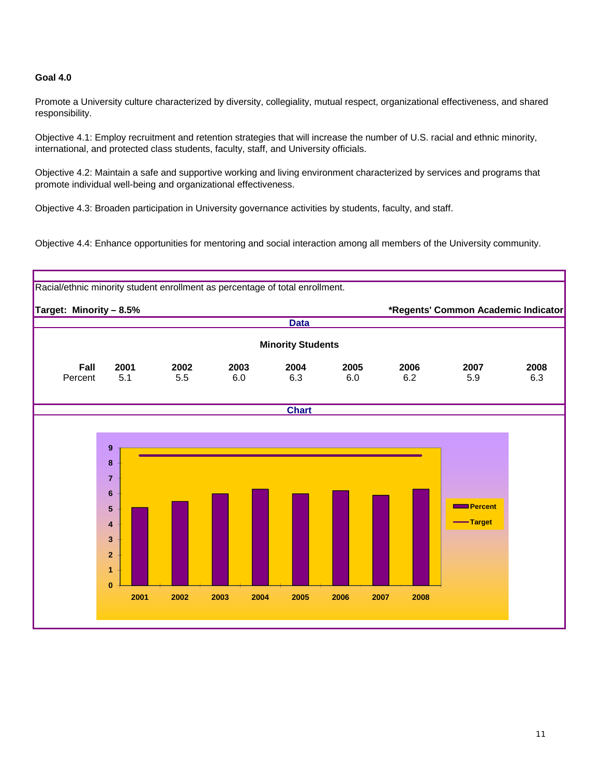# **Goal 4.0**

Promote a University culture characterized by diversity, collegiality, mutual respect, organizational effectiveness, and shared responsibility.

Objective 4.1: Employ recruitment and retention strategies that will increase the number of U.S. racial and ethnic minority, international, and protected class students, faculty, staff, and University officials.

Objective 4.2: Maintain a safe and supportive working and living environment characterized by services and programs that promote individual well-being and organizational effectiveness.

Objective 4.3: Broaden participation in University governance activities by students, faculty, and staff.

Objective 4.4: Enhance opportunities for mentoring and social interaction among all members of the University community.

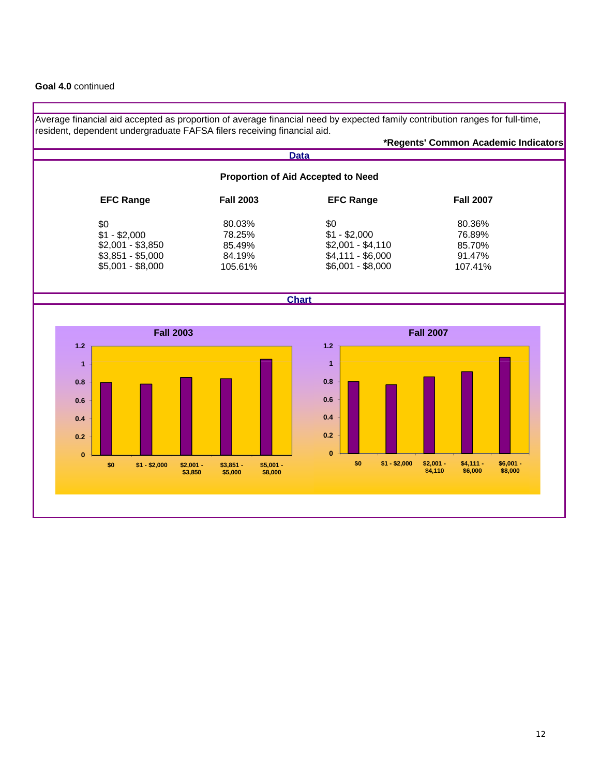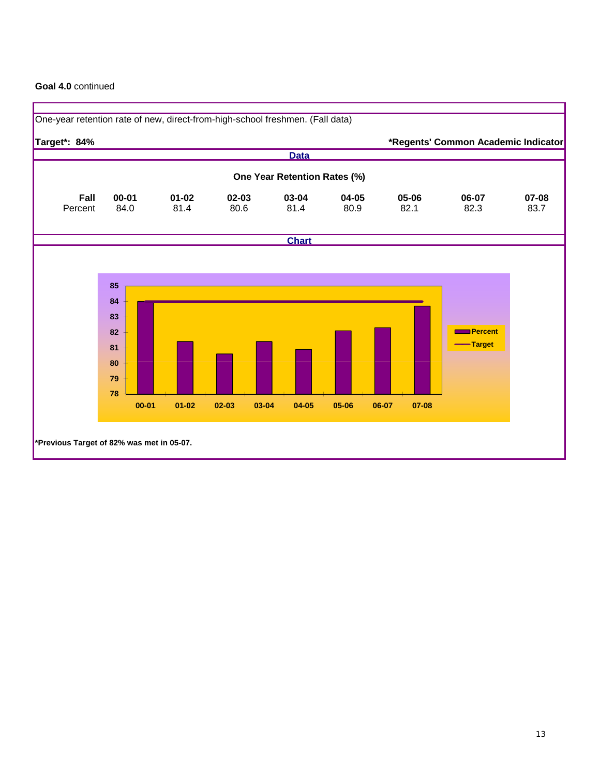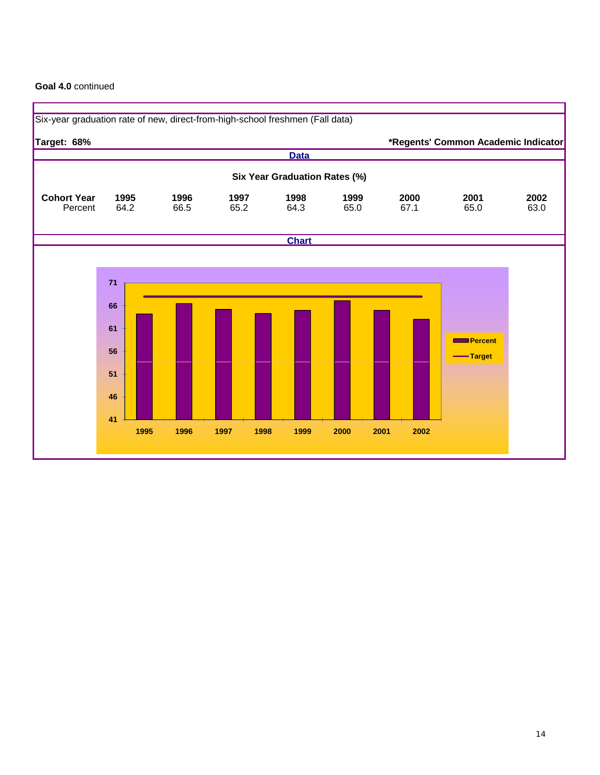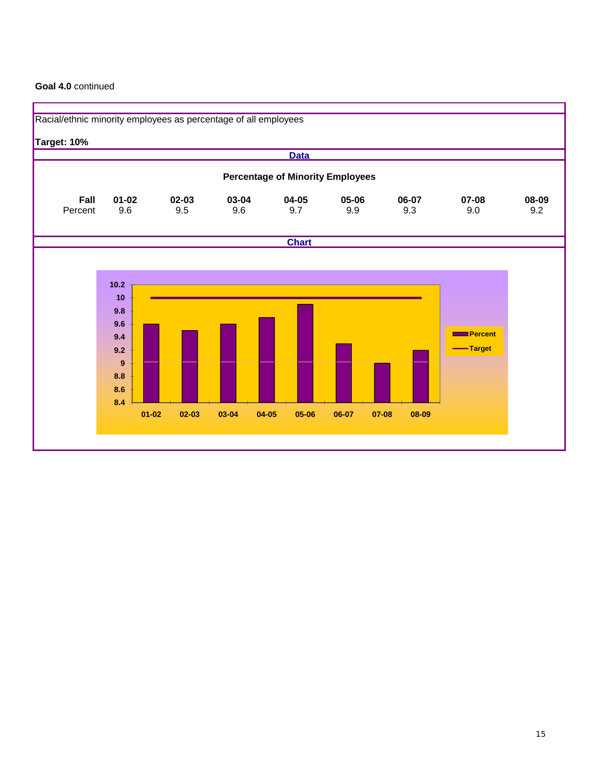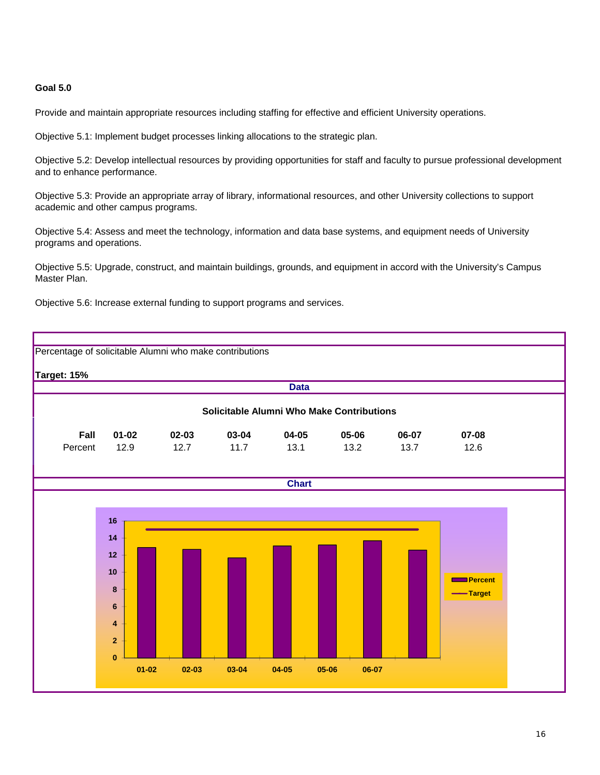## **Goal 5.0**

Provide and maintain appropriate resources including staffing for effective and efficient University operations.

Objective 5.1: Implement budget processes linking allocations to the strategic plan.

Objective 5.2: Develop intellectual resources by providing opportunities for staff and faculty to pursue professional development and to enhance performance.

Objective 5.3: Provide an appropriate array of library, informational resources, and other University collections to support academic and other campus programs.

Objective 5.4: Assess and meet the technology, information and data base systems, and equipment needs of University programs and operations.

Objective 5.5: Upgrade, construct, and maintain buildings, grounds, and equipment in accord with the University's Campus Master Plan.

Objective 5.6: Increase external funding to support programs and services.